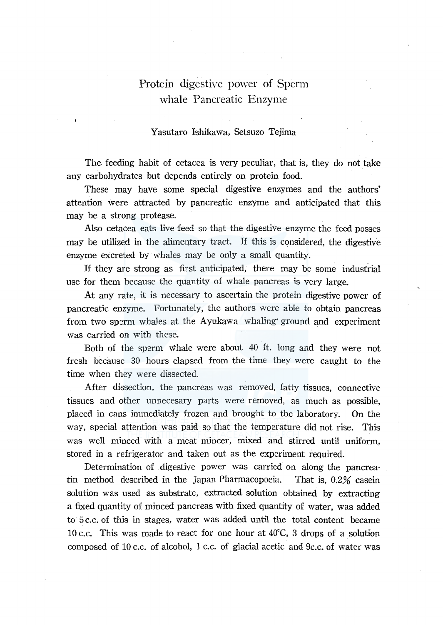# Protein digestive power of Sperm whale Pancreatic Enzyme

## Y asutaro Ishikawa, Setsuzo Tejima

The feeding habit of cetacea is very peculiar, that is, they do not take any carbohydrates but depends entirely on protein food.

These may have some special digestive enzymes and the authors' attention were attracted by pancreatic enzyme and anticipated that this may be a strong protease.

Also cetacea eats live feed so that the digestive enzyme the feed posses may be utilized in the alimentary tract. If this is considered, the digestive enzyme excreted by whales may be only a small quantity.

If they are strong as first anticipated, there may be some industrial use for them because the quantity of whale pancreas is very large.

At any rate, it is necessary to ascertain the protein digestive power of pancreatic enzyme. Fortunately, the authors were able to obtain pancreas from two sperm whales at the Ayukawa whaling· ground and experiment was carried on with these.

Both of the sperm whale were about 40 ft. long and they were not fresh because 30 hours elapsed from the time they were caught to the time when they were dissected.

After dissection, the pancreas was removed, fatty tissues, connective tissues and other unnecesary parts were removed, as much as possible, placed in cans immediately frozen and brought to the laboratory. On the way, special attention was paid so that the temperature did not rise. This was well minced with a meat mincer, mixed and stirred until uniform, stored in a refrigerator and taken out as the experiment required.

Determination of digestive power was carried on along the pancreatin method described in the Japan Pharmacopoeia. That is, 0.2% casein solution was used as substrate, extracted solution obtained by extracting a fixed quantity of minced pancreas with fixed quantity of water, was added to 5 c.c. of this in stages, water was added until the total content became 10 c.c. This was made to react for one hour at 40°C, 3 drops of a solution composed of 10 c.c. of alcohol, 1 c.c. of glacial acetic and 9c.c. of water was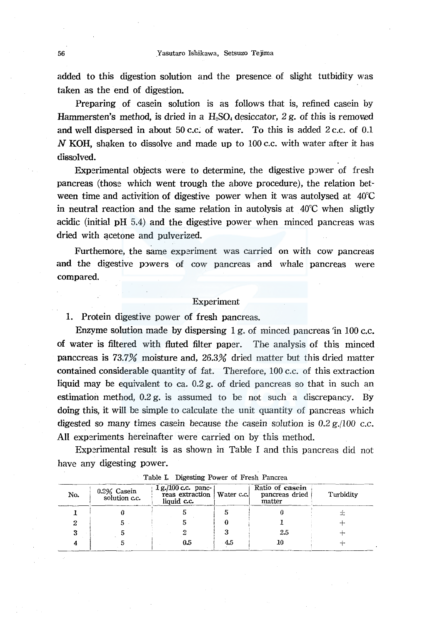added to this digestion solution and the presence. of slight tutbidity was taken as the end of digestion.

Preparing of casein solution is as follows that is, refined casein by Hammersten's method, is dried in a  $H_2SO_4$  desiccator, 2 g. of this is removed and well dispersed in about 50 c.c. of water. To this is added  $2$  c.c. of 0.1 N KOH, shaken to dissolve and made up to  $100$  c.c. with water after it has dissolved.

Experimental objects were to determine, the digestive power of fresh pancreas (those which went trough the above procedure), the relation between time and activition of digestive power when it was autolysed at 40°C in neutral reaction and the same relation in autolysis at 40°C when sligtly acidic (initial pH 5.4) and the digestive power when minced pancreas was dried with acetone and pulverized.

Furthemore, the same experiment was carried on with cow pancreas and the digestive powers of cow pancreas and whale pancreas were compared.

#### Experiment

1. Protein digestive power of fresh pancreas.

Enzyme solution made by dispersing 1 g. of minced pancreas 'in 100 c.c. of water is filtered with fluted filter paper. The analysis of this minced panccreas is 73.7% moisture and, 26.3% dried matter but this dried matter contained considerable quantity of fat. Therefore, 100 c.c. of this extraction liquid may be equivalent to ea. 0.2 g. of dried pancreas so that in such an estimation method, 0.2 g. is assumed to be not such a discrepancy. By doing this, it will be simple to calculate the unit quantity of pancreas which digested so many times case in because the case in solution is  $0.2$  g.  $/100$  c.c. All experiments hereinafter were carried on by this method.

Experimental result is as shown in Table I and this pancreas did not have any digesting power.

|     | Table I. Digesting Power of Fresh Pancrea |           |     |     |    |  |  |  |  |
|-----|-------------------------------------------|-----------|-----|-----|----|--|--|--|--|
| No. | 0.2% Casein<br>solution c.c.              | Turbidity |     |     |    |  |  |  |  |
|     |                                           |           |     |     | Ξc |  |  |  |  |
|     |                                           |           |     |     |    |  |  |  |  |
|     |                                           |           |     | 2.5 |    |  |  |  |  |
|     |                                           | 0.5       | 4.5 | 10  |    |  |  |  |  |

#### Table I. Digesting Power of Fresh Pancrea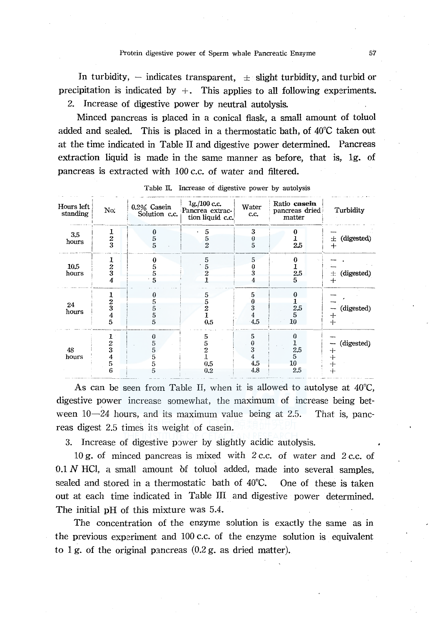In turbidity,  $-$  indicates transparent,  $\pm$  slight turbidity, and turbid or precipitation is indicated by  $+$ . This applies to all following experiments. 2. Increase of digestive power by neutral autolysis.

Minced pancreas is placed in a conical flask, a small amount of toluol added and sealed. This is placed in a thermostatic bath, of  $40^{\circ}$ C taken out at the time indicated in Table II and digestive power determined. Pancreas extraction liquid is made in the same manner as before, that is, 1g. of pancreas is extracted with 100 c.c. of water and filtered.

| Hours left<br>standing | No.                                  | 0.2% Casein<br>Solution c.c. | 1g/100c.c.<br>Pancrea extrac-<br>tion liquid c.c. | Water<br>c.c.                               | Ratio casein<br>pancreas dried<br>matter       | Turbidity                            |
|------------------------|--------------------------------------|------------------------------|---------------------------------------------------|---------------------------------------------|------------------------------------------------|--------------------------------------|
| 3,5<br>hours           | $\frac{1}{2}$                        | a<br>5<br>5                  | 5<br>5<br>$\overline{2}$                          | 3<br>$\begin{array}{c} 0 \\ 5 \end{array}$  | 0<br>2.5                                       | (digested)<br>士<br>$^{+}$            |
| 10.5<br>hours          | 1<br>$\frac{2}{3}$<br>4              | 0<br>5<br>5<br>$5^{\circ}$   | 5<br>5                                            | 5<br>3<br>4                                 | 0<br>2.5<br>5.                                 | (digested)<br>Ŧ.<br>$+$              |
| 24<br>hours            | 1<br>$\frac{2}{3}$<br>$\overline{5}$ | $\Omega$<br>5<br>5<br>5<br>5 | 5<br>5<br>2<br>0.5                                | 5<br>0<br>$\bf{3}$<br>$\overline{4}$<br>4.5 | $\bf{0}$<br>$2.5\,$<br>5<br>10                 | (digested)<br>┿<br>$+$               |
| 48<br>hours            | $\frac{2}{3}$<br>$\frac{4}{5}$<br>6  | 0<br>5<br>5<br>5<br>5<br>5   | 5<br>5<br>2<br>0.5<br>0.2                         | 5<br>0<br>3<br>$\overline{4}$<br>4.5<br>4.8 | 0<br>$\frac{1}{2.5}$<br>10 <sup>°</sup><br>2.5 | (digested)<br>┿<br>$+$<br>$+$<br>$+$ |

Table II. Increase of digestive power by autolysis

As can be seen from Table II, when it is allowed to autolyse at  $40^{\circ}$ C, digestive power increase somewhat, the maximum of increase being between  $10-24$  hours, and its maximum value being at 2.5. That is, pancreas digest 2.5 times its weight of casein.

3. Increase of digestive power by slightly acidic autolysis.

10 g, of minced pancreas is mixed with 2 c.c. of water and 2 c.c. of 0.1 N HCl, a small amount of toluol added, made into several samples, sealed and stored in a thermostatic bath of 40°C. One of these is taken out at each time indicated in Table III and digestive power determined. The initial pH of this mixture was 5.4.

The concentration of the enzyme solution is exactly the same as in the previous experiment and 100 c.c. of the enzyme solution is equivalent to 1 g. of the original pancreas  $(0.2 g$ , as dried matter).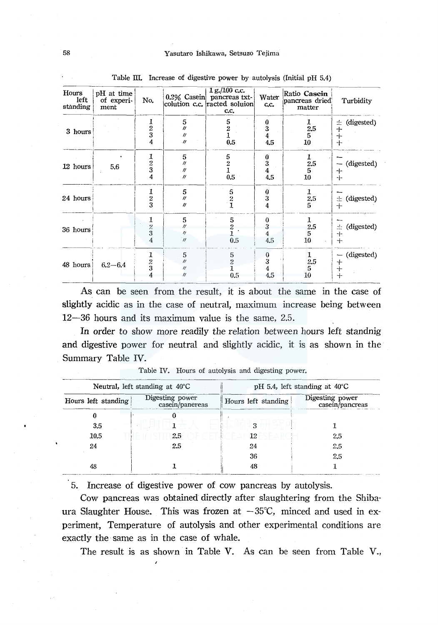| Hours<br>left<br>standing | pH at time<br>of experi-<br>ment | No.                                      |                                                               | $1 g$ , $/100 c$ .c.<br>0.2% Casein pancreas txt-<br>colution c.c. racted soluion<br>c.c. | Water<br>c.c.                                          | Ratio Casein<br>pancreas dried<br>matter       | Turbidity                                  |
|---------------------------|----------------------------------|------------------------------------------|---------------------------------------------------------------|-------------------------------------------------------------------------------------------|--------------------------------------------------------|------------------------------------------------|--------------------------------------------|
| 3 hours                   |                                  | $\frac{1}{2}$<br>4                       | 5<br>$^{\prime\prime}$<br>$^{\prime\prime}$<br>$\eta$         | 5<br>$\frac{2}{1}$<br>0.5                                                                 | $\begin{smallmatrix} 0\ 3\ 4 \end{smallmatrix}$<br>4.5 | ı<br>$\begin{array}{c} 2.5\ 5\ 10 \end{array}$ | (digested)<br>土<br>$^{+}$<br>$\, +$<br>$+$ |
| 12 hours                  | 5.6                              | $\frac{1}{2}$<br>$\overline{\mathbf{4}}$ | 5<br>$\prime\prime$<br>$^{\prime\prime}$<br>$^{\prime\prime}$ | 5<br>$\frac{2}{1}$<br>$0.5\,$                                                             | $\begin{smallmatrix} 0\ 3\ 4 \end{smallmatrix}$<br>4.5 | 1<br>2.5<br>5<br>10                            | (digested)<br>~<br>⊹<br>$+$                |
| 24 hours                  |                                  | 1<br>$\frac{2}{3}$                       | 5<br>$^{\prime\prime}$<br>$^{\prime\prime}$                   | $\frac{5}{2}$                                                                             | 0<br>3<br>$\overline{4}$                               | 1<br>2.5<br>5.                                 | (digested)<br>士<br>$+$                     |
| 36 hours                  |                                  | 1<br>$\frac{2}{3}$<br>4                  | 5<br>$^{\prime\prime}$<br>$\eta$<br>$^{\prime}$               | 5<br>$\overline{c}$<br>0.5                                                                | 0<br>3<br>4<br>4,5                                     | $\mathbf{1}$<br>2.5<br>5<br>10                 | (digested)<br>壺<br>$+$<br>$+$              |
| 48 hours                  | $6.2 - 6.4$                      | $\frac{1}{2}$                            | 5<br>$^{\prime\prime}$<br>$^{\prime\prime}$<br>"              | 5<br>$\overline{2}$<br>0.5                                                                | $\begin{array}{c} 0 \\ 3 \end{array}$<br>4<br>4.5      | 1<br>2.5<br>5<br>10                            | (digested)<br>$\bm{+}$<br>$^{+}$<br>$+$    |

Table III. Increase of digestive power by autolysis (Initial pH 5.4)

As can be seen from the result, it is about the same in the case of slightly acidic as in the case of neutral, maximum increase being between  $12-36$  hours and its maximum value is the same, 2.5.

In order to show more readily the relation between hours left standnig and digestive power for neutral and slightly acidic, it is as shown in the Summary Table IV.

|                     | Neutral, left standing at 40°C     | pH 5.4, left standing at $40^{\circ}$ C |                                    |  |  |
|---------------------|------------------------------------|-----------------------------------------|------------------------------------|--|--|
| Hours left standing | Digesting power<br>casein/panereas | Hours left standing                     | Digesting power<br>casein/pancreas |  |  |
|                     |                                    |                                         |                                    |  |  |
| 3.5                 |                                    |                                         |                                    |  |  |
| 10.5                | 2.5                                | 12                                      | 2.5                                |  |  |
| 24                  | 2.5                                | 24                                      | 2.5                                |  |  |
|                     |                                    | 36                                      | 2.5                                |  |  |
| 48                  |                                    | 48                                      |                                    |  |  |

Table IV. Hours of autolysis and digesting power.

5. Increase of digestive power of cow pancreas by autolysis.

Cow pancreas was obtained directly after slaughtering from the Shibaura Slaughter House. This was frozen at  $-35^{\circ}$ C, minced and used in experiment. Temperature of autolysis and other experimental conditions are exactly the same as in the case of whale.

The result is as shown in Table V. As can be seen from Table V.,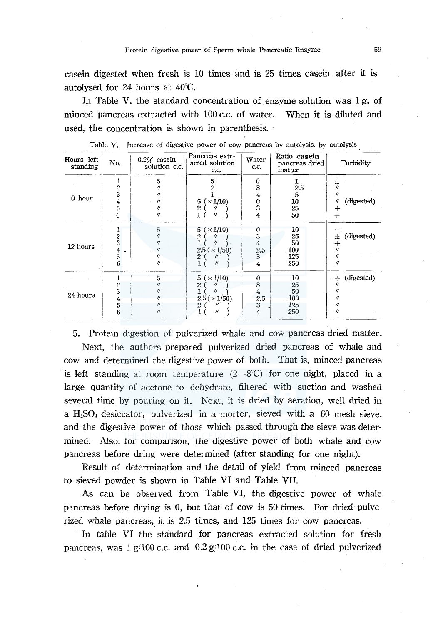casein digested when fresh is 10 times and is 25 times casein after it is autolysed for 24 hours at 40°C.

In Table V. the standard concentration of enzyme solution was 1 g. of minced pancreas extracted with 100 c.c. of water. When it is diluted and used, the concentration is shown in parenthesis.

| Hours left<br>standing | No.                                 | $0.2\%$ casein<br>solution c.c.                                              | Pancreas extr-<br>acted solution<br>c.c.                                                                | Water<br>c.c.                                    | Ratio casein<br>pancreas dried<br>matter | Turbidity                                                                   |
|------------------------|-------------------------------------|------------------------------------------------------------------------------|---------------------------------------------------------------------------------------------------------|--------------------------------------------------|------------------------------------------|-----------------------------------------------------------------------------|
| $0$ hour               | $\frac{1}{2}$<br>$\frac{4}{5}$<br>6 | 5<br>11<br>11<br>11<br>11<br>$^{\prime\prime}$                               | 5<br>(x1/10)<br>5<br>2<br>1<br>11                                                                       | 0<br>3<br>4<br>0<br>$\overline{\mathbf{3}}$<br>4 | 2.5<br>5<br>10<br>25<br>50               | 士〃<br>11<br>(digested)<br>11<br>┿<br>$\div$                                 |
| 12 hours               | $\frac{2}{3}$<br>4<br>5<br>6        | 5<br>$^{\prime\prime}$<br>11<br>11<br>$^{\prime\prime}$<br>$^{\prime\prime}$ | $\times 1/10$<br>5<br>$\boldsymbol{2}$<br>$^{\prime\prime}$<br>$2.5 \times 1/50$<br>2<br>$\prime\prime$ | 0<br>3<br>4<br>2.5<br>3<br>4                     | 10<br>25<br>50<br>100<br>125<br>250      | (digested)<br>ᆂ<br>$\div$<br>$\prime$<br>$^{\prime\prime}$<br>11            |
| 24 hours               | $\frac{1}{2}$<br>4<br>5<br>6        | 5<br>11<br>$^{\prime\prime}$<br>11<br>$^{\prime\prime}$                      | 5<br>$(\times 1/10)$<br>2<br>$^{\prime\prime}$<br>2.5(x1/50)<br>$\prime$                                | 0<br>3<br>4<br>2.5<br>3<br>4                     | 10<br>25<br>50<br>100<br>125<br>250      | (digested)<br>┿<br>$^{\prime\prime}$<br>11<br>11<br>11<br>$^{\prime\prime}$ |

Table V. Increase of digestive power of cow pancreas by autolysis. by autolysis.

5. Protein digestion of pulverized whale and cow pancreas dried matter. Next, the authors prepared pulverized dried pancreas of whale and cow and determined the digestive power of both. That is, minced pancreas is left standing at room temperature  $(2-8^{\circ}\text{C})$  for one night, placed in a large quantity of acetone to dehydrate, filtered with suction and washed several time by pouring on it. Next, it is dried by aeration, well dried in a H<sub>2</sub>SO<sub>4</sub> desiccator, pulverized in a morter, sieved with a 60 mesh sieve, and the digestive power of those which passed through the sieve was determined. Also, for comparison, the digestive power of both whale and cow

Result of determination and the detail of yield from minced pancreas to sieved powder is shown in Table VI and Table VII.

pancreas before dring were determined (after standing for one night).

As can be observed from Table VI, the digestive power of whale pancreas before drying is 0, but that of cow is 50 times. For dried pulverized whale pancreas, it is  $2.5$  times, and  $125$  times for cow pancreas.

In ·table VI the standard for pancreas extracted solution for fresh pancreas, was  $1 g/100 c.c.$  and  $0.2 g/100 c.c.$  in the case of dried pulverized